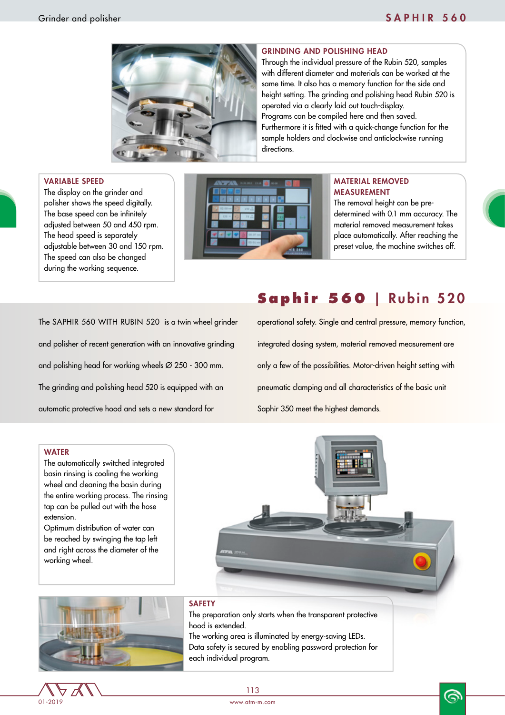

### GRINDING AND POLISHING HEAD

Through the individual pressure of the Rubin 520, samples with different diameter and materials can be worked at the same time. It also has a memory function for the side and height setting. The grinding and polishing head Rubin 520 is operated via a clearly laid out touch-display. Programs can be compiled here and then saved. Furthermore it is fitted with a quick-change function for the sample holders and clockwise and anticlockwise running directions.

#### VARIABLE SPEED

The display on the grinder and polisher shows the speed digitally. The base speed can be infinitely adjusted between 50 and 450 rpm. The head speed is separately adjustable between 30 and 150 rpm. The speed can also be changed during the working sequence.



### MATERIAL REMOVED MEASUREMENT

The removal height can be predetermined with 0.1 mm accuracy. The material removed measurement takes place automatically. After reaching the preset value, the machine switches off.

The SAPHIR 560 WITH RUBIN 520 is a twin wheel grinder and polisher of recent generation with an innovative grinding and polishing head for working wheels Ø 250 - 300 mm. The grinding and polishing head 520 is equipped with an automatic protective hood and sets a new standard for

# **Saphir 560** | Rubin 520

operational safety. Single and central pressure, memory function, integrated dosing system, material removed measurement are only a few of the possibilities. Motor-driven height setting with pneumatic clamping and all characteristics of the basic unit Saphir 350 meet the highest demands.

#### **WATER**

The automatically switched integrated basin rinsing is cooling the working wheel and cleaning the basin during the entire working process. The rinsing tap can be pulled out with the hose extension.

Optimum distribution of water can be reached by swinging the tap left and right across the diameter of the working wheel.





### **SAFETY**

The preparation only starts when the transparent protective hood is extended. The working area is illuminated by energy-saving LEDs.

Data safety is secured by enabling password protection for each individual program.





6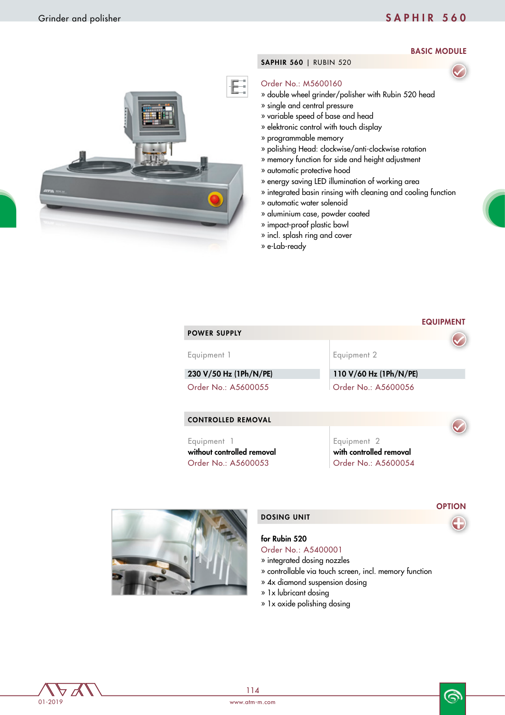# Grinder and polisher SAPHIR 560

BASIC MODULE

### SAPHIR 560 | RUBIN 520

### Order No.: M5600160

- » double wheel grinder/polisher with Rubin 520 head
- » single and central pressure
- » variable speed of base and head
- » elektronic control with touch display
- » programmable memory
- » polishing Head: clockwise/anti-clockwise rotation
- » memory function for side and height adjustment
- » automatic protective hood
- » energy saving LED illumination of working area
- » integrated basin rinsing with cleaning and cooling function
- » automatic water solenoid
- » aluminium case, powder coated
- » impact-proof plastic bowl
- » incl. splash ring and cover
- » e-Lab-ready

| <b>POWER SUPPLY</b>       | <b>EQUIPMENT</b>       |
|---------------------------|------------------------|
| Equipment 1               | Equipment 2            |
| 230 V/50 Hz (1Ph/N/PE)    | 110 V/60 Hz (1Ph/N/PE) |
| Order No.: A5600055       | Order No.: A5600056    |
| <b>CONTROLLED REMOVAL</b> |                        |

Equipment 1 without controlled removal Order No.: A5600053 Order No.: A5600054

Equipment 2 with controlled removal



#### DOSING UNIT

#### for Rubin 520

- Order No.: A5400001
- » integrated dosing nozzles
- » controllable via touch screen, incl. memory function
- » 4x diamond suspension dosing
- » 1x lubricant dosing
- » 1x oxide polishing dosing